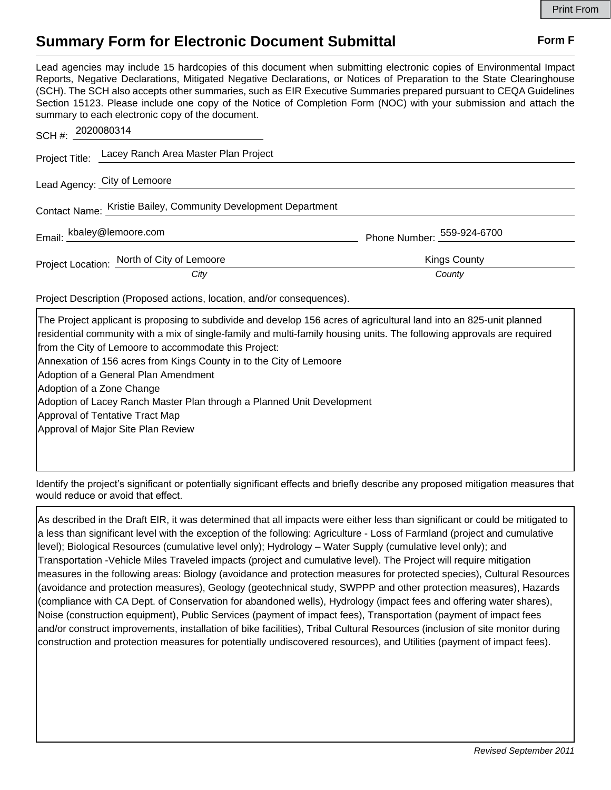## **Summary Form for Electronic Document Submittal Form F Form F**

Lead agencies may include 15 hardcopies of this document when submitting electronic copies of Environmental Impact Reports, Negative Declarations, Mitigated Negative Declarations, or Notices of Preparation to the State Clearinghouse (SCH). The SCH also accepts other summaries, such as EIR Executive Summaries prepared pursuant to CEQA Guidelines Section 15123. Please include one copy of the Notice of Completion Form (NOC) with your submission and attach the summary to each electronic copy of the document.

| SCH #: 2020080314                                              |                            |
|----------------------------------------------------------------|----------------------------|
| Project Title: Lacey Ranch Area Master Plan Project            |                            |
| Lead Agency: City of Lemoore                                   |                            |
| Contact Name: Kristie Bailey, Community Development Department |                            |
| Email: kbaley@lemoore.com                                      | Phone Number: 559-924-6700 |
| Project Location: North of City of Lemoore                     | <b>Kings County</b>        |
| City                                                           | County                     |

Project Description (Proposed actions, location, and/or consequences).

| The Project applicant is proposing to subdivide and develop 156 acres of agricultural land into an 825-unit planned    |
|------------------------------------------------------------------------------------------------------------------------|
| residential community with a mix of single-family and multi-family housing units. The following approvals are required |
| from the City of Lemoore to accommodate this Project:                                                                  |
| Annexation of 156 acres from Kings County in to the City of Lemoore                                                    |
| Adoption of a General Plan Amendment                                                                                   |
| Adoption of a Zone Change                                                                                              |
| Adoption of Lacey Ranch Master Plan through a Planned Unit Development                                                 |
| Approval of Tentative Tract Map                                                                                        |
| Approval of Major Site Plan Review                                                                                     |
|                                                                                                                        |
|                                                                                                                        |

Identify the project's significant or potentially significant effects and briefly describe any proposed mitigation measures that would reduce or avoid that effect.

As described in the Draft EIR, it was determined that all impacts were either less than significant or could be mitigated to a less than significant level with the exception of the following: Agriculture - Loss of Farmland (project and cumulative level); Biological Resources (cumulative level only); Hydrology – Water Supply (cumulative level only); and Transportation -Vehicle Miles Traveled impacts (project and cumulative level). The Project will require mitigation measures in the following areas: Biology (avoidance and protection measures for protected species), Cultural Resources (avoidance and protection measures), Geology (geotechnical study, SWPPP and other protection measures), Hazards (compliance with CA Dept. of Conservation for abandoned wells), Hydrology (impact fees and offering water shares), Noise (construction equipment), Public Services (payment of impact fees), Transportation (payment of impact fees and/or construct improvements, installation of bike facilities), Tribal Cultural Resources (inclusion of site monitor during construction and protection measures for potentially undiscovered resources), and Utilities (payment of impact fees).